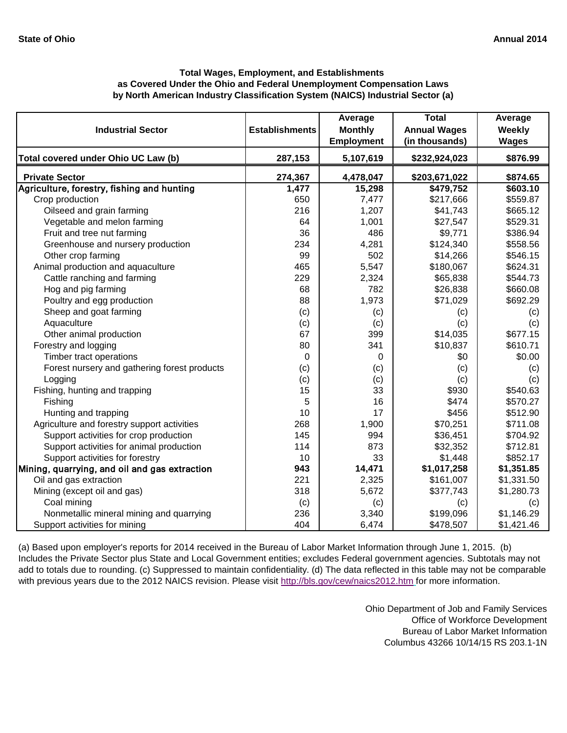| <b>Industrial Sector</b>                      | <b>Establishments</b> | Average<br><b>Monthly</b> | <b>Total</b><br><b>Annual Wages</b> | Average<br><b>Weekly</b> |
|-----------------------------------------------|-----------------------|---------------------------|-------------------------------------|--------------------------|
|                                               |                       | <b>Employment</b>         | (in thousands)                      | <b>Wages</b>             |
| Total covered under Ohio UC Law (b)           | 287,153               | 5,107,619                 | \$232,924,023                       | \$876.99                 |
| <b>Private Sector</b>                         | 274,367               | 4,478,047                 | \$203,671,022                       | \$874.65                 |
| Agriculture, forestry, fishing and hunting    | 1,477                 | 15,298                    | \$479,752                           | \$603.10                 |
| Crop production                               | 650                   | 7,477                     | \$217,666                           | \$559.87                 |
| Oilseed and grain farming                     | 216                   | 1,207                     | \$41,743                            | \$665.12                 |
| Vegetable and melon farming                   | 64                    | 1,001                     | \$27,547                            | \$529.31                 |
| Fruit and tree nut farming                    | 36                    | 486                       | \$9,771                             | \$386.94                 |
| Greenhouse and nursery production             | 234                   | 4,281                     | \$124,340                           | \$558.56                 |
| Other crop farming                            | 99                    | 502                       | \$14,266                            | \$546.15                 |
| Animal production and aquaculture             | 465                   | 5,547                     | \$180,067                           | \$624.31                 |
| Cattle ranching and farming                   | 229                   | 2,324                     | \$65,838                            | \$544.73                 |
| Hog and pig farming                           | 68                    | 782                       | \$26,838                            | \$660.08                 |
| Poultry and egg production                    | 88                    | 1,973                     | \$71,029                            | \$692.29                 |
| Sheep and goat farming                        | (c)                   | (c)                       | (c)                                 | (c)                      |
| Aquaculture                                   | (c)                   | (c)                       | (c)                                 | (c)                      |
| Other animal production                       | 67                    | 399                       | \$14,035                            | \$677.15                 |
| Forestry and logging                          | 80                    | 341                       | \$10,837                            | \$610.71                 |
| <b>Timber tract operations</b>                | $\Omega$              | 0                         | \$0                                 | \$0.00                   |
| Forest nursery and gathering forest products  | (c)                   | (c)                       | (c)                                 | (c)                      |
| Logging                                       | (c)                   | (c)                       | (c)                                 | (c)                      |
| Fishing, hunting and trapping                 | 15                    | 33                        | \$930                               | \$540.63                 |
| Fishing                                       | 5                     | 16                        | \$474                               | \$570.27                 |
| Hunting and trapping                          | 10                    | 17                        | \$456                               | \$512.90                 |
| Agriculture and forestry support activities   | 268                   | 1,900                     | \$70,251                            | \$711.08                 |
| Support activities for crop production        | 145                   | 994                       | \$36,451                            | \$704.92                 |
| Support activities for animal production      | 114                   | 873                       | \$32,352                            | \$712.81                 |
| Support activities for forestry               | 10                    | 33                        | \$1,448                             | \$852.17                 |
| Mining, quarrying, and oil and gas extraction | 943                   | 14,471                    | \$1,017,258                         | \$1,351.85               |
| Oil and gas extraction                        | 221                   | 2,325                     | \$161,007                           | \$1,331.50               |
| Mining (except oil and gas)                   | 318                   | 5,672                     | \$377,743                           | \$1,280.73               |
| Coal mining                                   | (c)                   | (c)                       | (c)                                 | (c)                      |
| Nonmetallic mineral mining and quarrying      | 236                   | 3,340                     | \$199,096                           | \$1,146.29               |
| Support activities for mining                 | 404                   | 6,474                     | \$478,507                           | \$1,421.46               |

[\(a\) Based upon employer's reports for 2014 received in the Bureau of Labor Market Information through June 1, 2015. \(b\)](http://bls.gov/cew/naics2012.htm)  [Includes the Private Sector plus State and Local Govern](http://bls.gov/cew/naics2012.htm)ment entities; excludes Federal government agencies. Subtotals may not [add to totals due to rounding. \(c\) Suppressed to maintain](http://bls.gov/cew/naics2012.htm) confidentiality. (d) The data reflected in this table may not be comparable [with previous years due to the 2012 NAICS revision. Please visit http://bls.gov/cew/naics2012.htm](http://bls.gov/cew/naics2012.htm) for more information.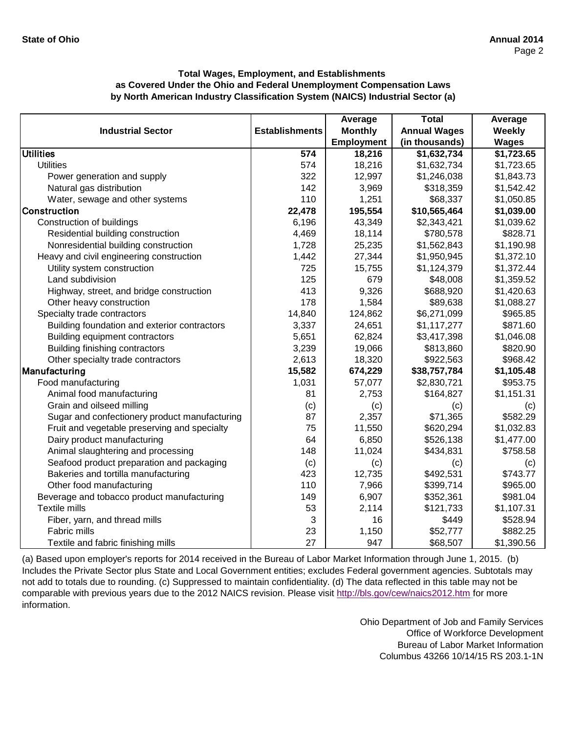|                                               |                       | Average           | <b>Total</b>        | Average      |
|-----------------------------------------------|-----------------------|-------------------|---------------------|--------------|
| <b>Industrial Sector</b>                      | <b>Establishments</b> | <b>Monthly</b>    | <b>Annual Wages</b> | Weekly       |
|                                               |                       | <b>Employment</b> | (in thousands)      | <b>Wages</b> |
| <b>Utilities</b>                              | 574                   | 18,216            | \$1,632,734         | \$1,723.65   |
| <b>Utilities</b>                              | 574                   | 18,216            | \$1,632,734         | \$1,723.65   |
| Power generation and supply                   | 322                   | 12,997            | \$1,246,038         | \$1,843.73   |
| Natural gas distribution                      | 142                   | 3,969             | \$318,359           | \$1,542.42   |
| Water, sewage and other systems               | 110                   | 1,251             | \$68,337            | \$1,050.85   |
| <b>Construction</b>                           | 22,478                | 195,554           | \$10,565,464        | \$1,039.00   |
| Construction of buildings                     | 6,196                 | 43,349            | \$2,343,421         | \$1,039.62   |
| Residential building construction             | 4,469                 | 18,114            | \$780,578           | \$828.71     |
| Nonresidential building construction          | 1,728                 | 25,235            | \$1,562,843         | \$1,190.98   |
| Heavy and civil engineering construction      | 1,442                 | 27,344            | \$1,950,945         | \$1,372.10   |
| Utility system construction                   | 725                   | 15,755            | \$1,124,379         | \$1,372.44   |
| Land subdivision                              | 125                   | 679               | \$48,008            | \$1,359.52   |
| Highway, street, and bridge construction      | 413                   | 9,326             | \$688,920           | \$1,420.63   |
| Other heavy construction                      | 178                   | 1,584             | \$89,638            | \$1,088.27   |
| Specialty trade contractors                   | 14,840                | 124,862           | \$6,271,099         | \$965.85     |
| Building foundation and exterior contractors  | 3,337                 | 24,651            | \$1,117,277         | \$871.60     |
| Building equipment contractors                | 5,651                 | 62,824            | \$3,417,398         | \$1,046.08   |
| Building finishing contractors                | 3,239                 | 19,066            | \$813,860           | \$820.90     |
| Other specialty trade contractors             | 2,613                 | 18,320            | \$922,563           | \$968.42     |
| Manufacturing                                 | 15,582                | 674,229           | \$38,757,784        | \$1,105.48   |
| Food manufacturing                            | 1,031                 | 57,077            | \$2,830,721         | \$953.75     |
| Animal food manufacturing                     | 81                    | 2,753             | \$164,827           | \$1,151.31   |
| Grain and oilseed milling                     | (c)                   | (c)               | (c)                 | (c)          |
| Sugar and confectionery product manufacturing | 87                    | 2,357             | \$71,365            | \$582.29     |
| Fruit and vegetable preserving and specialty  | 75                    | 11,550            | \$620,294           | \$1,032.83   |
| Dairy product manufacturing                   | 64                    | 6,850             | \$526,138           | \$1,477.00   |
| Animal slaughtering and processing            | 148                   | 11,024            | \$434,831           | \$758.58     |
| Seafood product preparation and packaging     | (c)                   | (c)               | (c)                 | (c)          |
| Bakeries and tortilla manufacturing           | 423                   | 12,735            | \$492,531           | \$743.77     |
| Other food manufacturing                      | 110                   | 7,966             | \$399,714           | \$965.00     |
| Beverage and tobacco product manufacturing    | 149                   | 6,907             | \$352,361           | \$981.04     |
| Textile mills                                 | 53                    | 2,114             | \$121,733           | \$1,107.31   |
| Fiber, yarn, and thread mills                 | 3                     | 16                | \$449               | \$528.94     |
| Fabric mills                                  | 23                    | 1,150             | \$52,777            | \$882.25     |
| Textile and fabric finishing mills            | 27                    | 947               | \$68,507            | \$1,390.56   |

[\(a\) Based upon employer's reports for 2014 received in the Bureau of Labor Market Information through June 1, 2015. \(b\)](http://bls.gov/cew/naics2012.htm)  [Includes the Private Sector plus State and Local Governm](http://bls.gov/cew/naics2012.htm)ent entities; excludes Federal government agencies. Subtotals may [not add to totals due to rounding. \(c\) Suppressed to main](http://bls.gov/cew/naics2012.htm)tain confidentiality. (d) The data reflected in this table may not be [comparable with previous years due to the 2012 NAICS revision. Please visit http://bls.gov/cew/naics2012.htm](http://bls.gov/cew/naics2012.htm) for more [information.](http://bls.gov/cew/naics2012.htm)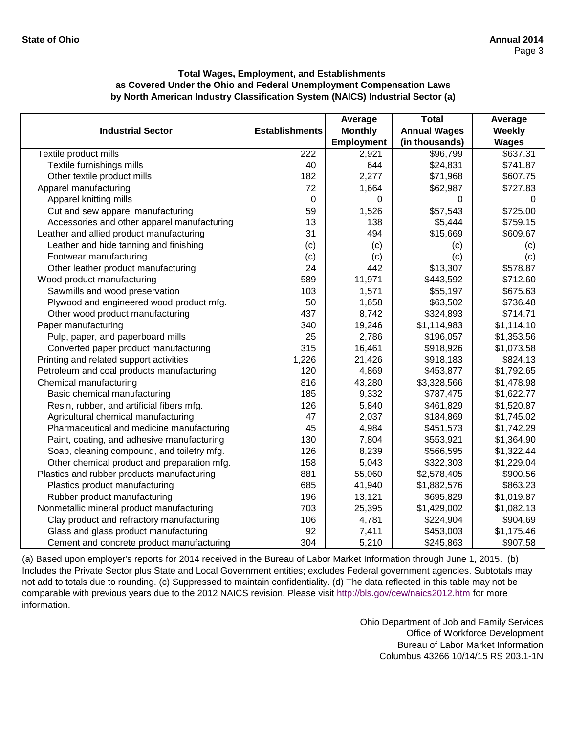|                                             |                       | Average           | <b>Total</b>        | Average      |
|---------------------------------------------|-----------------------|-------------------|---------------------|--------------|
| <b>Industrial Sector</b>                    | <b>Establishments</b> | <b>Monthly</b>    | <b>Annual Wages</b> | Weekly       |
|                                             |                       | <b>Employment</b> | (in thousands)      | <b>Wages</b> |
| Textile product mills                       | 222                   | 2,921             | \$96,799            | \$637.31     |
| Textile furnishings mills                   | 40                    | 644               | \$24,831            | \$741.87     |
| Other textile product mills                 | 182                   | 2,277             | \$71,968            | \$607.75     |
| Apparel manufacturing                       | 72                    | 1,664             | \$62,987            | \$727.83     |
| Apparel knitting mills                      | $\mathbf 0$           | 0                 | 0                   | 0            |
| Cut and sew apparel manufacturing           | 59                    | 1,526             | \$57,543            | \$725.00     |
| Accessories and other apparel manufacturing | 13                    | 138               | \$5,444             | \$759.15     |
| Leather and allied product manufacturing    | 31                    | 494               | \$15,669            | \$609.67     |
| Leather and hide tanning and finishing      | (c)                   | (c)               | (c)                 | (c)          |
| Footwear manufacturing                      | (c)                   | (c)               | (c)                 | (c)          |
| Other leather product manufacturing         | 24                    | 442               | \$13,307            | \$578.87     |
| Wood product manufacturing                  | 589                   | 11,971            | \$443,592           | \$712.60     |
| Sawmills and wood preservation              | 103                   | 1,571             | \$55,197            | \$675.63     |
| Plywood and engineered wood product mfg.    | 50                    | 1,658             | \$63,502            | \$736.48     |
| Other wood product manufacturing            | 437                   | 8,742             | \$324,893           | \$714.71     |
| Paper manufacturing                         | 340                   | 19,246            | \$1,114,983         | \$1,114.10   |
| Pulp, paper, and paperboard mills           | 25                    | 2,786             | \$196,057           | \$1,353.56   |
| Converted paper product manufacturing       | 315                   | 16,461            | \$918,926           | \$1,073.58   |
| Printing and related support activities     | 1,226                 | 21,426            | \$918,183           | \$824.13     |
| Petroleum and coal products manufacturing   | 120                   | 4,869             | \$453,877           | \$1,792.65   |
| Chemical manufacturing                      | 816                   | 43,280            | \$3,328,566         | \$1,478.98   |
| Basic chemical manufacturing                | 185                   | 9,332             | \$787,475           | \$1,622.77   |
| Resin, rubber, and artificial fibers mfg.   | 126                   | 5,840             | \$461,829           | \$1,520.87   |
| Agricultural chemical manufacturing         | 47                    | 2,037             | \$184,869           | \$1,745.02   |
| Pharmaceutical and medicine manufacturing   | 45                    | 4,984             | \$451,573           | \$1,742.29   |
| Paint, coating, and adhesive manufacturing  | 130                   | 7,804             | \$553,921           | \$1,364.90   |
| Soap, cleaning compound, and toiletry mfg.  | 126                   | 8,239             | \$566,595           | \$1,322.44   |
| Other chemical product and preparation mfg. | 158                   | 5,043             | \$322,303           | \$1,229.04   |
| Plastics and rubber products manufacturing  | 881                   | 55,060            | \$2,578,405         | \$900.56     |
| Plastics product manufacturing              | 685                   | 41,940            | \$1,882,576         | \$863.23     |
| Rubber product manufacturing                | 196                   | 13,121            | \$695,829           | \$1,019.87   |
| Nonmetallic mineral product manufacturing   | 703                   | 25,395            | \$1,429,002         | \$1,082.13   |
| Clay product and refractory manufacturing   | 106                   | 4,781             | \$224,904           | \$904.69     |
| Glass and glass product manufacturing       | 92                    | 7,411             | \$453,003           | \$1,175.46   |
| Cement and concrete product manufacturing   | 304                   | 5,210             | \$245,863           | \$907.58     |

[\(a\) Based upon employer's reports for 2014 received in the Bureau of Labor Market Information through June 1, 2015. \(b\)](http://bls.gov/cew/naics2012.htm)  [Includes the Private Sector plus State and Local Governm](http://bls.gov/cew/naics2012.htm)ent entities; excludes Federal government agencies. Subtotals may [not add to totals due to rounding. \(c\) Suppressed to main](http://bls.gov/cew/naics2012.htm)tain confidentiality. (d) The data reflected in this table may not be [comparable with previous years due to the 2012 NAICS revision. Please visit http://bls.gov/cew/naics2012.htm](http://bls.gov/cew/naics2012.htm) for more [information.](http://bls.gov/cew/naics2012.htm)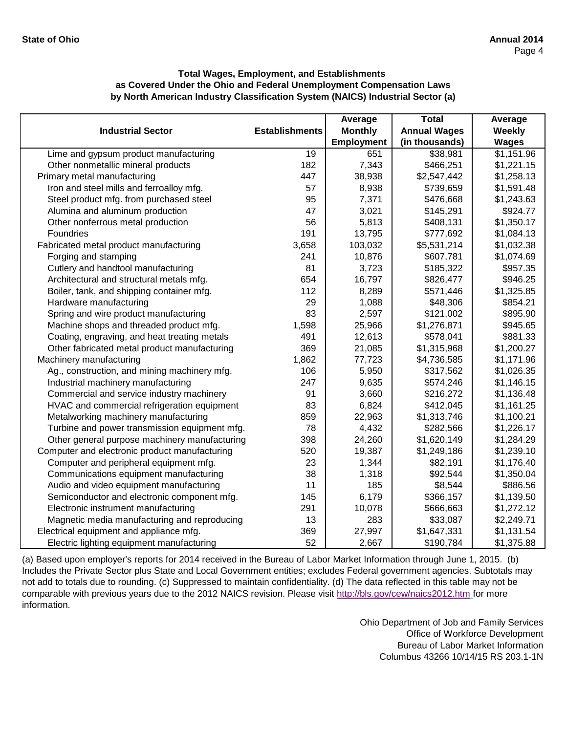|                                               |                       | Average           | <b>Total</b>        | Average      |
|-----------------------------------------------|-----------------------|-------------------|---------------------|--------------|
| <b>Industrial Sector</b>                      | <b>Establishments</b> | <b>Monthly</b>    | <b>Annual Wages</b> | Weekly       |
|                                               |                       | <b>Employment</b> | (in thousands)      | <b>Wages</b> |
| Lime and gypsum product manufacturing         | $\overline{19}$       | 651               | \$38,981            | \$1,151.96   |
| Other nonmetallic mineral products            | 182                   | 7,343             | \$466,251           | \$1,221.15   |
| Primary metal manufacturing                   | 447                   | 38,938            | \$2,547,442         | \$1,258.13   |
| Iron and steel mills and ferroalloy mfg.      | 57                    | 8,938             | \$739,659           | \$1,591.48   |
| Steel product mfg. from purchased steel       | 95                    | 7,371             | \$476,668           | \$1,243.63   |
| Alumina and aluminum production               | 47                    | 3,021             | \$145,291           | \$924.77     |
| Other nonferrous metal production             | 56                    | 5,813             | \$408,131           | \$1,350.17   |
| Foundries                                     | 191                   | 13,795            | \$777,692           | \$1,084.13   |
| Fabricated metal product manufacturing        | 3,658                 | 103,032           | \$5,531,214         | \$1,032.38   |
| Forging and stamping                          | 241                   | 10,876            | \$607,781           | \$1,074.69   |
| Cutlery and handtool manufacturing            | 81                    | 3,723             | \$185,322           | \$957.35     |
| Architectural and structural metals mfg.      | 654                   | 16,797            | \$826,477           | \$946.25     |
| Boiler, tank, and shipping container mfg.     | 112                   | 8,289             | \$571,446           | \$1,325.85   |
| Hardware manufacturing                        | 29                    | 1,088             | \$48,306            | \$854.21     |
| Spring and wire product manufacturing         | 83                    | 2,597             | \$121,002           | \$895.90     |
| Machine shops and threaded product mfg.       | 1,598                 | 25,966            | \$1,276,871         | \$945.65     |
| Coating, engraving, and heat treating metals  | 491                   | 12,613            | \$578,041           | \$881.33     |
| Other fabricated metal product manufacturing  | 369                   | 21,085            | \$1,315,968         | \$1,200.27   |
| Machinery manufacturing                       | 1,862                 | 77,723            | \$4,736,585         | \$1,171.96   |
| Ag., construction, and mining machinery mfg.  | 106                   | 5,950             | \$317,562           | \$1,026.35   |
| Industrial machinery manufacturing            | 247                   | 9,635             | \$574,246           | \$1,146.15   |
| Commercial and service industry machinery     | 91                    | 3,660             | \$216,272           | \$1,136.48   |
| HVAC and commercial refrigeration equipment   | 83                    | 6,824             | \$412,045           | \$1,161.25   |
| Metalworking machinery manufacturing          | 859                   | 22,963            | \$1,313,746         | \$1,100.21   |
| Turbine and power transmission equipment mfg. | 78                    | 4,432             | \$282,566           | \$1,226.17   |
| Other general purpose machinery manufacturing | 398                   | 24,260            | \$1,620,149         | \$1,284.29   |
| Computer and electronic product manufacturing | 520                   | 19,387            | \$1,249,186         | \$1,239.10   |
| Computer and peripheral equipment mfg.        | 23                    | 1,344             | \$82,191            | \$1,176.40   |
| Communications equipment manufacturing        | 38                    | 1,318             | \$92,544            | \$1,350.04   |
| Audio and video equipment manufacturing       | 11                    | 185               | \$8,544             | \$886.56     |
| Semiconductor and electronic component mfg.   | 145                   | 6,179             | \$366,157           | \$1,139.50   |
| Electronic instrument manufacturing           | 291                   | 10,078            | \$666,663           | \$1,272.12   |
| Magnetic media manufacturing and reproducing  | 13                    | 283               | \$33,087            | \$2,249.71   |
| Electrical equipment and appliance mfg.       | 369                   | 27,997            | \$1,647,331         | \$1,131.54   |
| Electric lighting equipment manufacturing     | 52                    | 2,667             | \$190,784           | \$1,375.88   |

[\(a\) Based upon employer's reports for 2014 received in the Bureau of Labor Market Information through June 1, 2015. \(b\)](http://bls.gov/cew/naics2012.htm)  [Includes the Private Sector plus State and Local Governm](http://bls.gov/cew/naics2012.htm)ent entities; excludes Federal government agencies. Subtotals may [not add to totals due to rounding. \(c\) Suppressed to main](http://bls.gov/cew/naics2012.htm)tain confidentiality. (d) The data reflected in this table may not be [comparable with previous years due to the 2012 NAICS revision. Please visit http://bls.gov/cew/naics2012.htm](http://bls.gov/cew/naics2012.htm) for more [information.](http://bls.gov/cew/naics2012.htm)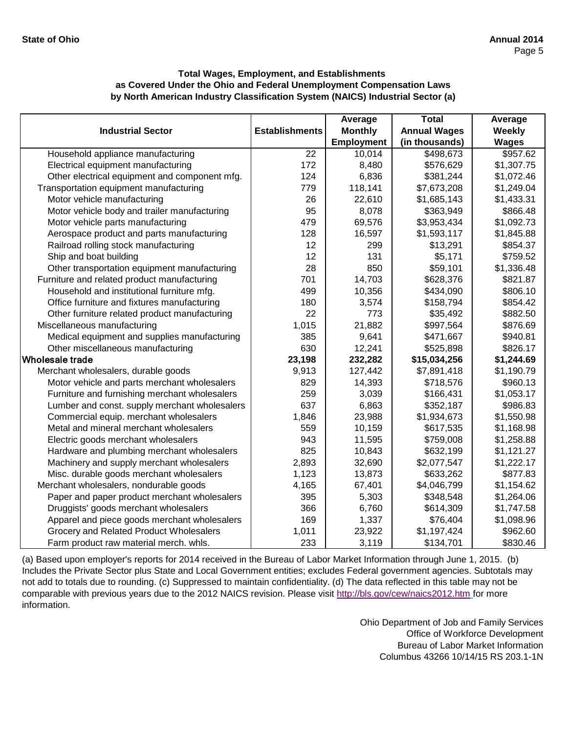|                                               |                       | Average           | <b>Total</b>        | Average      |
|-----------------------------------------------|-----------------------|-------------------|---------------------|--------------|
| <b>Industrial Sector</b>                      | <b>Establishments</b> | <b>Monthly</b>    | <b>Annual Wages</b> | Weekly       |
|                                               |                       | <b>Employment</b> | (in thousands)      | <b>Wages</b> |
| Household appliance manufacturing             | $\overline{22}$       | 10,014            | \$498,673           | \$957.62     |
| Electrical equipment manufacturing            | 172                   | 8,480             | \$576,629           | \$1,307.75   |
| Other electrical equipment and component mfg. | 124                   | 6,836             | \$381,244           | \$1,072.46   |
| Transportation equipment manufacturing        | 779                   | 118,141           | \$7,673,208         | \$1,249.04   |
| Motor vehicle manufacturing                   | 26                    | 22,610            | \$1,685,143         | \$1,433.31   |
| Motor vehicle body and trailer manufacturing  | 95                    | 8,078             | \$363,949           | \$866.48     |
| Motor vehicle parts manufacturing             | 479                   | 69,576            | \$3,953,434         | \$1,092.73   |
| Aerospace product and parts manufacturing     | 128                   | 16,597            | \$1,593,117         | \$1,845.88   |
| Railroad rolling stock manufacturing          | 12                    | 299               | \$13,291            | \$854.37     |
| Ship and boat building                        | 12                    | 131               | \$5,171             | \$759.52     |
| Other transportation equipment manufacturing  | 28                    | 850               | \$59,101            | \$1,336.48   |
| Furniture and related product manufacturing   | 701                   | 14,703            | \$628,376           | \$821.87     |
| Household and institutional furniture mfg.    | 499                   | 10,356            | \$434,090           | \$806.10     |
| Office furniture and fixtures manufacturing   | 180                   | 3,574             | \$158,794           | \$854.42     |
| Other furniture related product manufacturing | 22                    | 773               | \$35,492            | \$882.50     |
| Miscellaneous manufacturing                   | 1,015                 | 21,882            | \$997,564           | \$876.69     |
| Medical equipment and supplies manufacturing  | 385                   | 9,641             | \$471,667           | \$940.81     |
| Other miscellaneous manufacturing             | 630                   | 12,241            | \$525,898           | \$826.17     |
| Wholesale trade                               | 23,198                | 232,282           | \$15,034,256        | \$1,244.69   |
| Merchant wholesalers, durable goods           | 9,913                 | 127,442           | \$7,891,418         | \$1,190.79   |
| Motor vehicle and parts merchant wholesalers  | 829                   | 14,393            | \$718,576           | \$960.13     |
| Furniture and furnishing merchant wholesalers | 259                   | 3,039             | \$166,431           | \$1,053.17   |
| Lumber and const. supply merchant wholesalers | 637                   | 6,863             | \$352,187           | \$986.83     |
| Commercial equip. merchant wholesalers        | 1,846                 | 23,988            | \$1,934,673         | \$1,550.98   |
| Metal and mineral merchant wholesalers        | 559                   | 10,159            | \$617,535           | \$1,168.98   |
| Electric goods merchant wholesalers           | 943                   | 11,595            | \$759,008           | \$1,258.88   |
| Hardware and plumbing merchant wholesalers    | 825                   | 10,843            | \$632,199           | \$1,121.27   |
| Machinery and supply merchant wholesalers     | 2,893                 | 32,690            | \$2,077,547         | \$1,222.17   |
| Misc. durable goods merchant wholesalers      | 1,123                 | 13,873            | \$633,262           | \$877.83     |
| Merchant wholesalers, nondurable goods        | 4,165                 | 67,401            | \$4,046,799         | \$1,154.62   |
| Paper and paper product merchant wholesalers  | 395                   | 5,303             | \$348,548           | \$1,264.06   |
| Druggists' goods merchant wholesalers         | 366                   | 6,760             | \$614,309           | \$1,747.58   |
| Apparel and piece goods merchant wholesalers  | 169                   | 1,337             | \$76,404            | \$1,098.96   |
| Grocery and Related Product Wholesalers       | 1,011                 | 23,922            | \$1,197,424         | \$962.60     |
| Farm product raw material merch. whls.        | 233                   | 3,119             | \$134,701           | \$830.46     |

[\(a\) Based upon employer's reports for 2014 received in the Bureau of Labor Market Information through June 1, 2015. \(b\)](http://bls.gov/cew/naics2012.htm)  [Includes the Private Sector plus State and Local Governm](http://bls.gov/cew/naics2012.htm)ent entities; excludes Federal government agencies. Subtotals may [not add to totals due to rounding. \(c\) Suppressed to main](http://bls.gov/cew/naics2012.htm)tain confidentiality. (d) The data reflected in this table may not be [comparable with previous years due to the 2012 NAICS revision. Please visit http://bls.gov/cew/naics2012.htm](http://bls.gov/cew/naics2012.htm) for more [information.](http://bls.gov/cew/naics2012.htm)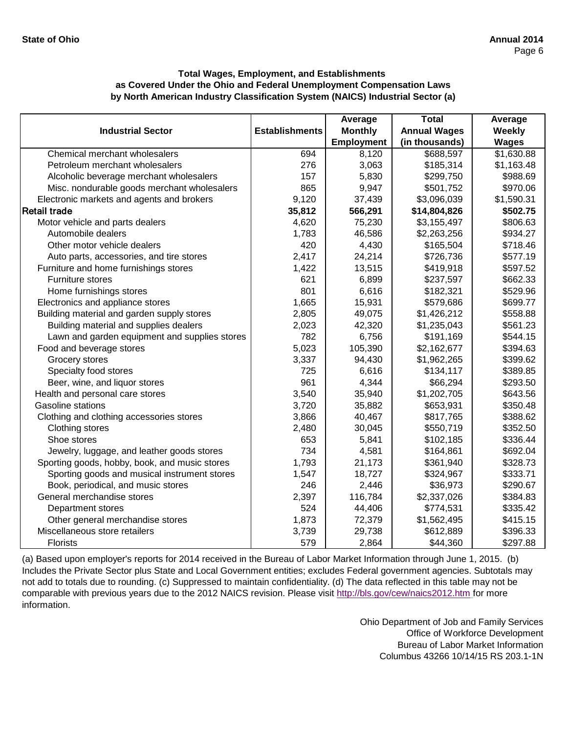|                                               |                       | Average           | <b>Total</b>        | Average      |
|-----------------------------------------------|-----------------------|-------------------|---------------------|--------------|
| <b>Industrial Sector</b>                      | <b>Establishments</b> | <b>Monthly</b>    | <b>Annual Wages</b> | Weekly       |
|                                               |                       | <b>Employment</b> | (in thousands)      | <b>Wages</b> |
| Chemical merchant wholesalers                 | 694                   | 8,120             | \$688,597           | \$1,630.88   |
| Petroleum merchant wholesalers                | 276                   | 3,063             | \$185,314           | \$1,163.48   |
| Alcoholic beverage merchant wholesalers       | 157                   | 5,830             | \$299,750           | \$988.69     |
| Misc. nondurable goods merchant wholesalers   | 865                   | 9,947             | \$501,752           | \$970.06     |
| Electronic markets and agents and brokers     | 9,120                 | 37,439            | \$3,096,039         | \$1,590.31   |
| <b>Retail trade</b>                           | 35,812                | 566,291           | \$14,804,826        | \$502.75     |
| Motor vehicle and parts dealers               | 4,620                 | 75,230            | \$3,155,497         | \$806.63     |
| Automobile dealers                            | 1,783                 | 46,586            | \$2,263,256         | \$934.27     |
| Other motor vehicle dealers                   | 420                   | 4,430             | \$165,504           | \$718.46     |
| Auto parts, accessories, and tire stores      | 2,417                 | 24,214            | \$726,736           | \$577.19     |
| Furniture and home furnishings stores         | 1,422                 | 13,515            | \$419,918           | \$597.52     |
| Furniture stores                              | 621                   | 6,899             | \$237,597           | \$662.33     |
| Home furnishings stores                       | 801                   | 6,616             | \$182,321           | \$529.96     |
| Electronics and appliance stores              | 1,665                 | 15,931            | \$579,686           | \$699.77     |
| Building material and garden supply stores    | 2,805                 | 49,075            | \$1,426,212         | \$558.88     |
| Building material and supplies dealers        | 2,023                 | 42,320            | \$1,235,043         | \$561.23     |
| Lawn and garden equipment and supplies stores | 782                   | 6,756             | \$191,169           | \$544.15     |
| Food and beverage stores                      | 5,023                 | 105,390           | \$2,162,677         | \$394.63     |
| Grocery stores                                | 3,337                 | 94,430            | \$1,962,265         | \$399.62     |
| Specialty food stores                         | 725                   | 6,616             | \$134,117           | \$389.85     |
| Beer, wine, and liquor stores                 | 961                   | 4,344             | \$66,294            | \$293.50     |
| Health and personal care stores               | 3,540                 | 35,940            | \$1,202,705         | \$643.56     |
| Gasoline stations                             | 3,720                 | 35,882            | \$653,931           | \$350.48     |
| Clothing and clothing accessories stores      | 3,866                 | 40,467            | \$817,765           | \$388.62     |
| Clothing stores                               | 2,480                 | 30,045            | \$550,719           | \$352.50     |
| Shoe stores                                   | 653                   | 5,841             | \$102,185           | \$336.44     |
| Jewelry, luggage, and leather goods stores    | 734                   | 4,581             | \$164,861           | \$692.04     |
| Sporting goods, hobby, book, and music stores | 1,793                 | 21,173            | \$361,940           | \$328.73     |
| Sporting goods and musical instrument stores  | 1,547                 | 18,727            | \$324,967           | \$333.71     |
| Book, periodical, and music stores            | 246                   | 2,446             | \$36,973            | \$290.67     |
| General merchandise stores                    | 2,397                 | 116,784           | \$2,337,026         | \$384.83     |
| Department stores                             | 524                   | 44,406            | \$774,531           | \$335.42     |
| Other general merchandise stores              | 1,873                 | 72,379            | \$1,562,495         | \$415.15     |
| Miscellaneous store retailers                 | 3,739                 | 29,738            | \$612,889           | \$396.33     |
| Florists                                      | 579                   | 2,864             | \$44,360            | \$297.88     |

[\(a\) Based upon employer's reports for 2014 received in the Bureau of Labor Market Information through June 1, 2015. \(b\)](http://bls.gov/cew/naics2012.htm)  [Includes the Private Sector plus State and Local Governm](http://bls.gov/cew/naics2012.htm)ent entities; excludes Federal government agencies. Subtotals may [not add to totals due to rounding. \(c\) Suppressed to main](http://bls.gov/cew/naics2012.htm)tain confidentiality. (d) The data reflected in this table may not be [comparable with previous years due to the 2012 NAICS revision. Please visit http://bls.gov/cew/naics2012.htm](http://bls.gov/cew/naics2012.htm) for more [information.](http://bls.gov/cew/naics2012.htm)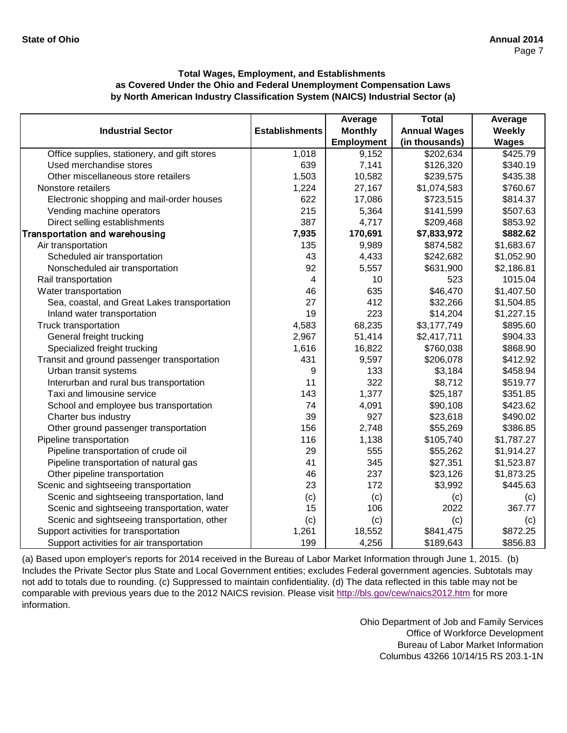|                                              |                       | Average           | <b>Total</b>        | Average      |
|----------------------------------------------|-----------------------|-------------------|---------------------|--------------|
| <b>Industrial Sector</b>                     | <b>Establishments</b> | <b>Monthly</b>    | <b>Annual Wages</b> | Weekly       |
|                                              |                       | <b>Employment</b> | (in thousands)      | <b>Wages</b> |
| Office supplies, stationery, and gift stores | 1,018                 | 9,152             | \$202,634           | \$425.79     |
| Used merchandise stores                      | 639                   | 7,141             | \$126,320           | \$340.19     |
| Other miscellaneous store retailers          | 1,503                 | 10,582            | \$239,575           | \$435.38     |
| Nonstore retailers                           | 1,224                 | 27,167            | \$1,074,583         | \$760.67     |
| Electronic shopping and mail-order houses    | 622                   | 17,086            | \$723,515           | \$814.37     |
| Vending machine operators                    | 215                   | 5,364             | \$141,599           | \$507.63     |
| Direct selling establishments                | 387                   | 4,717             | \$209,468           | \$853.92     |
| <b>Transportation and warehousing</b>        | 7,935                 | 170,691           | \$7,833,972         | \$882.62     |
| Air transportation                           | 135                   | 9,989             | \$874,582           | \$1,683.67   |
| Scheduled air transportation                 | 43                    | 4,433             | \$242,682           | \$1,052.90   |
| Nonscheduled air transportation              | 92                    | 5,557             | \$631,900           | \$2,186.81   |
| Rail transportation                          | 4                     | 10                | 523                 | 1015.04      |
| Water transportation                         | 46                    | 635               | \$46,470            | \$1,407.50   |
| Sea, coastal, and Great Lakes transportation | 27                    | 412               | \$32,266            | \$1,504.85   |
| Inland water transportation                  | 19                    | 223               | \$14,204            | \$1,227.15   |
| Truck transportation                         | 4,583                 | 68,235            | \$3,177,749         | \$895.60     |
| General freight trucking                     | 2,967                 | 51,414            | \$2,417,711         | \$904.33     |
| Specialized freight trucking                 | 1,616                 | 16,822            | \$760,038           | \$868.90     |
| Transit and ground passenger transportation  | 431                   | 9,597             | \$206,078           | \$412.92     |
| Urban transit systems                        | 9                     | 133               | \$3,184             | \$458.94     |
| Interurban and rural bus transportation      | 11                    | 322               | \$8,712             | \$519.77     |
| Taxi and limousine service                   | 143                   | 1,377             | \$25,187            | \$351.85     |
| School and employee bus transportation       | 74                    | 4,091             | \$90,108            | \$423.62     |
| Charter bus industry                         | 39                    | 927               | \$23,618            | \$490.02     |
| Other ground passenger transportation        | 156                   | 2,748             | \$55,269            | \$386.85     |
| Pipeline transportation                      | 116                   | 1,138             | \$105,740           | \$1,787.27   |
| Pipeline transportation of crude oil         | 29                    | 555               | \$55,262            | \$1,914.27   |
| Pipeline transportation of natural gas       | 41                    | 345               | \$27,351            | \$1,523.87   |
| Other pipeline transportation                | 46                    | 237               | \$23,126            | \$1,873.25   |
| Scenic and sightseeing transportation        | 23                    | 172               | \$3,992             | \$445.63     |
| Scenic and sightseeing transportation, land  | (c)                   | (c)               | (c)                 | (c)          |
| Scenic and sightseeing transportation, water | 15                    | 106               | 2022                | 367.77       |
| Scenic and sightseeing transportation, other | (c)                   | (c)               | (c)                 | (c)          |
| Support activities for transportation        | 1,261                 | 18,552            | \$841,475           | \$872.25     |
| Support activities for air transportation    | 199                   | 4,256             | \$189,643           | \$856.83     |

[\(a\) Based upon employer's reports for 2014 received in the Bureau of Labor Market Information through June 1, 2015. \(b\)](http://bls.gov/cew/naics2012.htm)  [Includes the Private Sector plus State and Local Governm](http://bls.gov/cew/naics2012.htm)ent entities; excludes Federal government agencies. Subtotals may [not add to totals due to rounding. \(c\) Suppressed to main](http://bls.gov/cew/naics2012.htm)tain confidentiality. (d) The data reflected in this table may not be [comparable with previous years due to the 2012 NAICS revision. Please visit http://bls.gov/cew/naics2012.htm](http://bls.gov/cew/naics2012.htm) for more [information.](http://bls.gov/cew/naics2012.htm)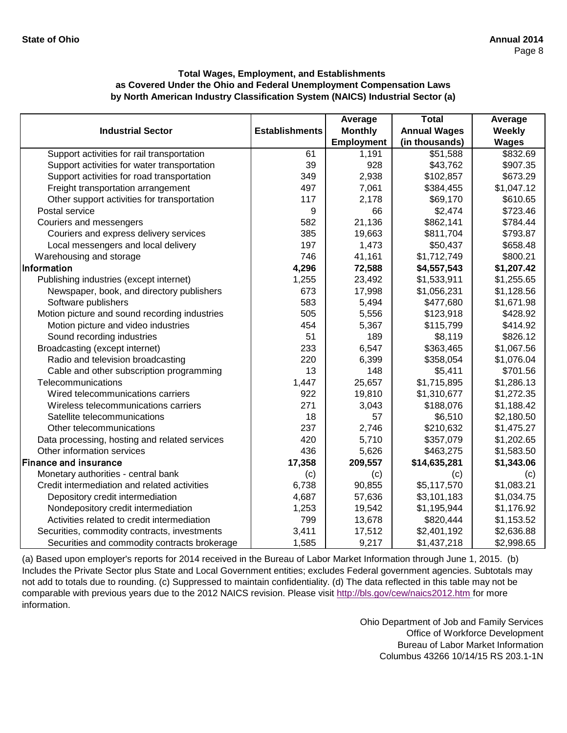|                                               |                       | Average           | <b>Total</b>        | Average      |
|-----------------------------------------------|-----------------------|-------------------|---------------------|--------------|
| <b>Industrial Sector</b>                      | <b>Establishments</b> | <b>Monthly</b>    | <b>Annual Wages</b> | Weekly       |
|                                               |                       | <b>Employment</b> | (in thousands)      | <b>Wages</b> |
| Support activities for rail transportation    | 61                    | 1,191             | \$51,588            | \$832.69     |
| Support activities for water transportation   | 39                    | 928               | \$43,762            | \$907.35     |
| Support activities for road transportation    | 349                   | 2,938             | \$102,857           | \$673.29     |
| Freight transportation arrangement            | 497                   | 7,061             | \$384,455           | \$1,047.12   |
| Other support activities for transportation   | 117                   | 2,178             | \$69,170            | \$610.65     |
| Postal service                                | 9                     | 66                | \$2,474             | \$723.46     |
| Couriers and messengers                       | 582                   | 21,136            | \$862,141           | \$784.44     |
| Couriers and express delivery services        | 385                   | 19,663            | \$811,704           | \$793.87     |
| Local messengers and local delivery           | 197                   | 1,473             | \$50,437            | \$658.48     |
| Warehousing and storage                       | 746                   | 41,161            | \$1,712,749         | \$800.21     |
| Information                                   | 4,296                 | 72,588            | \$4,557,543         | \$1,207.42   |
| Publishing industries (except internet)       | 1,255                 | 23,492            | \$1,533,911         | \$1,255.65   |
| Newspaper, book, and directory publishers     | 673                   | 17,998            | \$1,056,231         | \$1,128.56   |
| Software publishers                           | 583                   | 5,494             | \$477,680           | \$1,671.98   |
| Motion picture and sound recording industries | 505                   | 5,556             | \$123,918           | \$428.92     |
| Motion picture and video industries           | 454                   | 5,367             | \$115,799           | \$414.92     |
| Sound recording industries                    | 51                    | 189               | \$8,119             | \$826.12     |
| Broadcasting (except internet)                | 233                   | 6,547             | \$363,465           | \$1,067.56   |
| Radio and television broadcasting             | 220                   | 6,399             | \$358,054           | \$1,076.04   |
| Cable and other subscription programming      | 13                    | 148               | \$5,411             | \$701.56     |
| Telecommunications                            | 1,447                 | 25,657            | \$1,715,895         | \$1,286.13   |
| Wired telecommunications carriers             | 922                   | 19,810            | \$1,310,677         | \$1,272.35   |
| Wireless telecommunications carriers          | 271                   | 3,043             | \$188,076           | \$1,188.42   |
| Satellite telecommunications                  | 18                    | 57                | \$6,510             | \$2,180.50   |
| Other telecommunications                      | 237                   | 2,746             | \$210,632           | \$1,475.27   |
| Data processing, hosting and related services | 420                   | 5,710             | \$357,079           | \$1,202.65   |
| Other information services                    | 436                   | 5,626             | \$463,275           | \$1,583.50   |
| <b>Finance and insurance</b>                  | 17,358                | 209,557           | \$14,635,281        | \$1,343.06   |
| Monetary authorities - central bank           | (c)                   | (c)               | (c)                 | (c)          |
| Credit intermediation and related activities  | 6,738                 | 90,855            | \$5,117,570         | \$1,083.21   |
| Depository credit intermediation              | 4,687                 | 57,636            | \$3,101,183         | \$1,034.75   |
| Nondepository credit intermediation           | 1,253                 | 19,542            | \$1,195,944         | \$1,176.92   |
| Activities related to credit intermediation   | 799                   | 13,678            | \$820,444           | \$1,153.52   |
| Securities, commodity contracts, investments  | 3,411                 | 17,512            | \$2,401,192         | \$2,636.88   |
| Securities and commodity contracts brokerage  | 1,585                 | 9,217             | \$1,437,218         | \$2,998.65   |

[\(a\) Based upon employer's reports for 2014 received in the Bureau of Labor Market Information through June 1, 2015. \(b\)](http://bls.gov/cew/naics2012.htm)  [Includes the Private Sector plus State and Local Governm](http://bls.gov/cew/naics2012.htm)ent entities; excludes Federal government agencies. Subtotals may [not add to totals due to rounding. \(c\) Suppressed to main](http://bls.gov/cew/naics2012.htm)tain confidentiality. (d) The data reflected in this table may not be [comparable with previous years due to the 2012 NAICS revision. Please visit http://bls.gov/cew/naics2012.htm](http://bls.gov/cew/naics2012.htm) for more [information.](http://bls.gov/cew/naics2012.htm)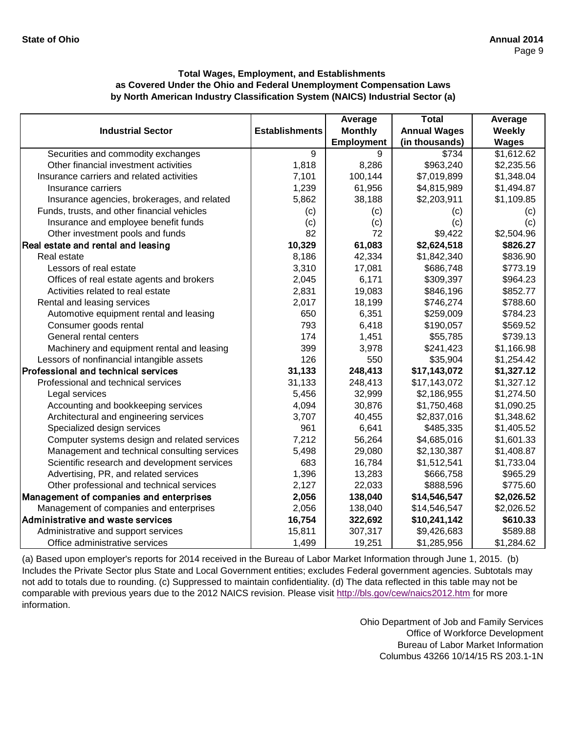|                                              |                       | Average        | <b>Total</b>        | Average      |
|----------------------------------------------|-----------------------|----------------|---------------------|--------------|
| <b>Industrial Sector</b>                     | <b>Establishments</b> | <b>Monthly</b> | <b>Annual Wages</b> | Weekly       |
|                                              |                       | Employment     | (in thousands)      | <b>Wages</b> |
| Securities and commodity exchanges           | 9                     | 9              | \$734               | \$1,612.62   |
| Other financial investment activities        | 1,818                 | 8,286          | \$963,240           | \$2,235.56   |
| Insurance carriers and related activities    | 7,101                 | 100,144        | \$7,019,899         | \$1,348.04   |
| Insurance carriers                           | 1,239                 | 61,956         | \$4,815,989         | \$1,494.87   |
| Insurance agencies, brokerages, and related  | 5,862                 | 38,188         | \$2,203,911         | \$1,109.85   |
| Funds, trusts, and other financial vehicles  | (c)                   | (c)            | (c)                 | (c)          |
| Insurance and employee benefit funds         | (c)                   | (c)            | (c)                 | (c)          |
| Other investment pools and funds             | 82                    | 72             | \$9,422             | \$2,504.96   |
| Real estate and rental and leasing           | 10,329                | 61,083         | \$2,624,518         | \$826.27     |
| Real estate                                  | 8,186                 | 42,334         | \$1,842,340         | \$836.90     |
| Lessors of real estate                       | 3,310                 | 17,081         | \$686,748           | \$773.19     |
| Offices of real estate agents and brokers    | 2,045                 | 6,171          | \$309,397           | \$964.23     |
| Activities related to real estate            | 2,831                 | 19,083         | \$846,196           | \$852.77     |
| Rental and leasing services                  | 2,017                 | 18,199         | \$746,274           | \$788.60     |
| Automotive equipment rental and leasing      | 650                   | 6,351          | \$259,009           | \$784.23     |
| Consumer goods rental                        | 793                   | 6,418          | \$190,057           | \$569.52     |
| General rental centers                       | 174                   | 1,451          | \$55,785            | \$739.13     |
| Machinery and equipment rental and leasing   | 399                   | 3,978          | \$241,423           | \$1,166.98   |
| Lessors of nonfinancial intangible assets    | 126                   | 550            | \$35,904            | \$1,254.42   |
| Professional and technical services          | 31,133                | 248,413        | \$17,143,072        | \$1,327.12   |
| Professional and technical services          | 31,133                | 248,413        | \$17,143,072        | \$1,327.12   |
| Legal services                               | 5,456                 | 32,999         | \$2,186,955         | \$1,274.50   |
| Accounting and bookkeeping services          | 4,094                 | 30,876         | \$1,750,468         | \$1,090.25   |
| Architectural and engineering services       | 3,707                 | 40,455         | \$2,837,016         | \$1,348.62   |
| Specialized design services                  | 961                   | 6,641          | \$485,335           | \$1,405.52   |
| Computer systems design and related services | 7,212                 | 56,264         | \$4,685,016         | \$1,601.33   |
| Management and technical consulting services | 5,498                 | 29,080         | \$2,130,387         | \$1,408.87   |
| Scientific research and development services | 683                   | 16,784         | \$1,512,541         | \$1,733.04   |
| Advertising, PR, and related services        | 1,396                 | 13,283         | \$666,758           | \$965.29     |
| Other professional and technical services    | 2,127                 | 22,033         | \$888,596           | \$775.60     |
| Management of companies and enterprises      | 2,056                 | 138,040        | \$14,546,547        | \$2,026.52   |
| Management of companies and enterprises      | 2,056                 | 138,040        | \$14,546,547        | \$2,026.52   |
| Administrative and waste services            | 16,754                | 322,692        | \$10,241,142        | \$610.33     |
| Administrative and support services          | 15,811                | 307,317        | \$9,426,683         | \$589.88     |
| Office administrative services               | 1,499                 | 19,251         | \$1,285,956         | \$1,284.62   |

[\(a\) Based upon employer's reports for 2014 received in the Bureau of Labor Market Information through June 1, 2015. \(b\)](http://bls.gov/cew/naics2012.htm)  [Includes the Private Sector plus State and Local Governm](http://bls.gov/cew/naics2012.htm)ent entities; excludes Federal government agencies. Subtotals may [not add to totals due to rounding. \(c\) Suppressed to main](http://bls.gov/cew/naics2012.htm)tain confidentiality. (d) The data reflected in this table may not be [comparable with previous years due to the 2012 NAICS revision. Please visit http://bls.gov/cew/naics2012.htm](http://bls.gov/cew/naics2012.htm) for more [information.](http://bls.gov/cew/naics2012.htm)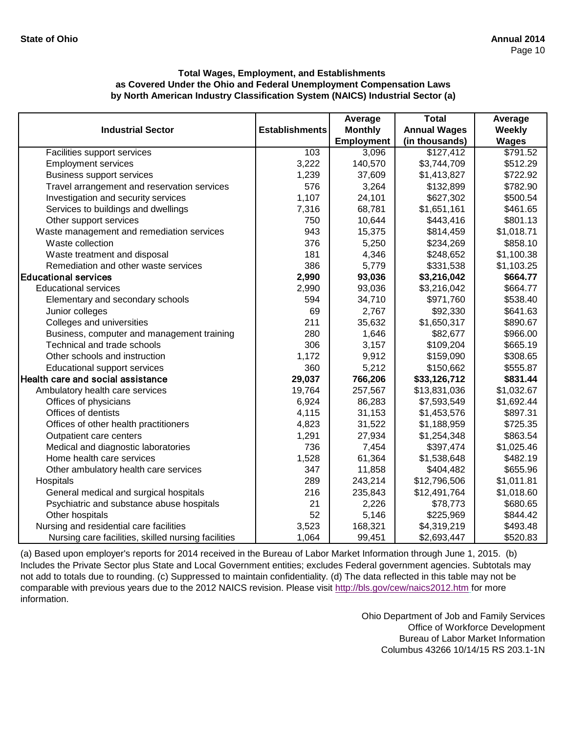|                                                     |                       | Average           | <b>Total</b>        | Average      |
|-----------------------------------------------------|-----------------------|-------------------|---------------------|--------------|
| <b>Industrial Sector</b>                            | <b>Establishments</b> | <b>Monthly</b>    | <b>Annual Wages</b> | Weekly       |
|                                                     |                       | <b>Employment</b> | (in thousands)      | <b>Wages</b> |
| Facilities support services                         | 103                   | 3,096             | \$127,412           | \$791.52     |
| <b>Employment services</b>                          | 3,222                 | 140,570           | \$3,744,709         | \$512.29     |
| <b>Business support services</b>                    | 1,239                 | 37,609            | \$1,413,827         | \$722.92     |
| Travel arrangement and reservation services         | 576                   | 3,264             | \$132,899           | \$782.90     |
| Investigation and security services                 | 1,107                 | 24,101            | \$627,302           | \$500.54     |
| Services to buildings and dwellings                 | 7,316                 | 68,781            | \$1,651,161         | \$461.65     |
| Other support services                              | 750                   | 10,644            | \$443,416           | \$801.13     |
| Waste management and remediation services           | 943                   | 15,375            | \$814,459           | \$1,018.71   |
| Waste collection                                    | 376                   | 5,250             | \$234,269           | \$858.10     |
| Waste treatment and disposal                        | 181                   | 4,346             | \$248,652           | \$1,100.38   |
| Remediation and other waste services                | 386                   | 5,779             | \$331,538           | \$1,103.25   |
| <b>Educational services</b>                         | 2,990                 | 93,036            | \$3,216,042         | \$664.77     |
| <b>Educational services</b>                         | 2,990                 | 93,036            | \$3,216,042         | \$664.77     |
| Elementary and secondary schools                    | 594                   | 34,710            | \$971,760           | \$538.40     |
| Junior colleges                                     | 69                    | 2,767             | \$92,330            | \$641.63     |
| Colleges and universities                           | 211                   | 35,632            | \$1,650,317         | \$890.67     |
| Business, computer and management training          | 280                   | 1,646             | \$82,677            | \$966.00     |
| Technical and trade schools                         | 306                   | 3,157             | \$109,204           | \$665.19     |
| Other schools and instruction                       | 1,172                 | 9,912             | \$159,090           | \$308.65     |
| Educational support services                        | 360                   | 5,212             | \$150,662           | \$555.87     |
| Health care and social assistance                   | 29,037                | 766,206           | \$33,126,712        | \$831.44     |
| Ambulatory health care services                     | 19,764                | 257,567           | \$13,831,036        | \$1,032.67   |
| Offices of physicians                               | 6,924                 | 86,283            | \$7,593,549         | \$1,692.44   |
| Offices of dentists                                 | 4,115                 | 31,153            | \$1,453,576         | \$897.31     |
| Offices of other health practitioners               | 4,823                 | 31,522            | \$1,188,959         | \$725.35     |
| Outpatient care centers                             | 1,291                 | 27,934            | \$1,254,348         | \$863.54     |
| Medical and diagnostic laboratories                 | 736                   | 7,454             | \$397,474           | \$1,025.46   |
| Home health care services                           | 1,528                 | 61,364            | \$1,538,648         | \$482.19     |
| Other ambulatory health care services               | 347                   | 11,858            | \$404,482           | \$655.96     |
| Hospitals                                           | 289                   | 243,214           | \$12,796,506        | \$1,011.81   |
| General medical and surgical hospitals              | 216                   | 235,843           | \$12,491,764        | \$1,018.60   |
| Psychiatric and substance abuse hospitals           | 21                    | 2,226             | \$78,773            | \$680.65     |
| Other hospitals                                     | 52                    | 5,146             | \$225,969           | \$844.42     |
| Nursing and residential care facilities             | 3,523                 | 168,321           | \$4,319,219         | \$493.48     |
| Nursing care facilities, skilled nursing facilities | 1,064                 | 99,451            | \$2,693,447         | \$520.83     |

[\(a\) Based upon employer's reports for 2014 received in the Bureau of Labor Market Information through June 1, 2015. \(b\)](http://bls.gov/cew/naics2012.htm)  [Includes the Private Sector plus State and Local Governm](http://bls.gov/cew/naics2012.htm)ent entities; excludes Federal government agencies. Subtotals may [not add to totals due to rounding. \(c\) Suppressed to mainta](http://bls.gov/cew/naics2012.htm)in confidentiality. (d) The data reflected in this table may not be [comparable with previous years due to the 2012 NAICS revision. Please visit http://bls.gov/cew/naics2012.htm](http://bls.gov/cew/naics2012.htm) for more [information.](http://bls.gov/cew/naics2012.htm)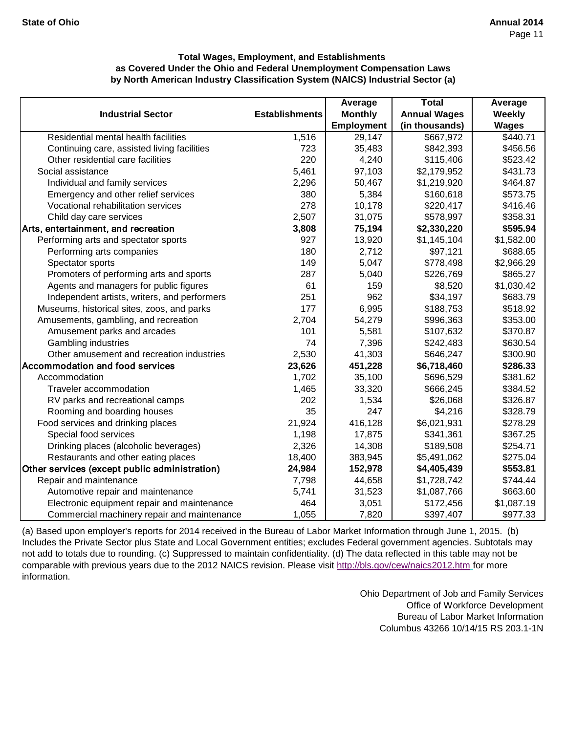|                                               |                       | Average           | <b>Total</b>        | Average      |
|-----------------------------------------------|-----------------------|-------------------|---------------------|--------------|
| <b>Industrial Sector</b>                      | <b>Establishments</b> | <b>Monthly</b>    | <b>Annual Wages</b> | Weekly       |
|                                               |                       | <b>Employment</b> | (in thousands)      | <b>Wages</b> |
| Residential mental health facilities          | 1,516                 | 29,147            | \$667,972           | \$440.71     |
| Continuing care, assisted living facilities   | 723                   | 35,483            | \$842,393           | \$456.56     |
| Other residential care facilities             | 220                   | 4,240             | \$115,406           | \$523.42     |
| Social assistance                             | 5,461                 | 97,103            | \$2,179,952         | \$431.73     |
| Individual and family services                | 2,296                 | 50,467            | \$1,219,920         | \$464.87     |
| Emergency and other relief services           | 380                   | 5,384             | \$160,618           | \$573.75     |
| Vocational rehabilitation services            | 278                   | 10,178            | \$220,417           | \$416.46     |
| Child day care services                       | 2,507                 | 31,075            | \$578,997           | \$358.31     |
| Arts, entertainment, and recreation           | 3,808                 | 75,194            | \$2,330,220         | \$595.94     |
| Performing arts and spectator sports          | 927                   | 13,920            | \$1,145,104         | \$1,582.00   |
| Performing arts companies                     | 180                   | 2,712             | \$97,121            | \$688.65     |
| Spectator sports                              | 149                   | 5,047             | \$778,498           | \$2,966.29   |
| Promoters of performing arts and sports       | 287                   | 5,040             | \$226,769           | \$865.27     |
| Agents and managers for public figures        | 61                    | 159               | \$8,520             | \$1,030.42   |
| Independent artists, writers, and performers  | 251                   | 962               | \$34,197            | \$683.79     |
| Museums, historical sites, zoos, and parks    | 177                   | 6,995             | \$188,753           | \$518.92     |
| Amusements, gambling, and recreation          | 2,704                 | 54,279            | \$996,363           | \$353.00     |
| Amusement parks and arcades                   | 101                   | 5,581             | \$107,632           | \$370.87     |
| Gambling industries                           | 74                    | 7,396             | \$242,483           | \$630.54     |
| Other amusement and recreation industries     | 2,530                 | 41,303            | \$646,247           | \$300.90     |
| <b>Accommodation and food services</b>        | 23,626                | 451,228           | \$6,718,460         | \$286.33     |
| Accommodation                                 | 1,702                 | 35,100            | \$696,529           | \$381.62     |
| Traveler accommodation                        | 1,465                 | 33,320            | \$666,245           | \$384.52     |
| RV parks and recreational camps               | 202                   | 1,534             | \$26,068            | \$326.87     |
| Rooming and boarding houses                   | 35                    | 247               | \$4,216             | \$328.79     |
| Food services and drinking places             | 21,924                | 416,128           | \$6,021,931         | \$278.29     |
| Special food services                         | 1,198                 | 17,875            | \$341,361           | \$367.25     |
| Drinking places (alcoholic beverages)         | 2,326                 | 14,308            | \$189,508           | \$254.71     |
| Restaurants and other eating places           | 18,400                | 383,945           | \$5,491,062         | \$275.04     |
| Other services (except public administration) | 24,984                | 152,978           | \$4,405,439         | \$553.81     |
| Repair and maintenance                        | 7,798                 | 44,658            | \$1,728,742         | \$744.44     |
| Automotive repair and maintenance             | 5,741                 | 31,523            | \$1,087,766         | \$663.60     |
| Electronic equipment repair and maintenance   | 464                   | 3,051             | \$172,456           | \$1,087.19   |
| Commercial machinery repair and maintenance   | 1,055                 | 7,820             | \$397,407           | \$977.33     |

[\(a\) Based upon employer's reports for 2014 received in the Bureau of Labor Market Information through June 1, 2015. \(b\)](http://bls.gov/cew/naics2012.htm)  [Includes the Private Sector plus State and Local Governm](http://bls.gov/cew/naics2012.htm)ent entities; excludes Federal government agencies. Subtotals may [not add to totals due to rounding. \(c\) Suppressed to main](http://bls.gov/cew/naics2012.htm)tain confidentiality. (d) The data reflected in this table may not be [comparable with previous years due to the 2012 NAICS revision. Please visit http://bls.gov/cew/naics2012.htm](http://bls.gov/cew/naics2012.htm) for more [information.](http://bls.gov/cew/naics2012.htm)